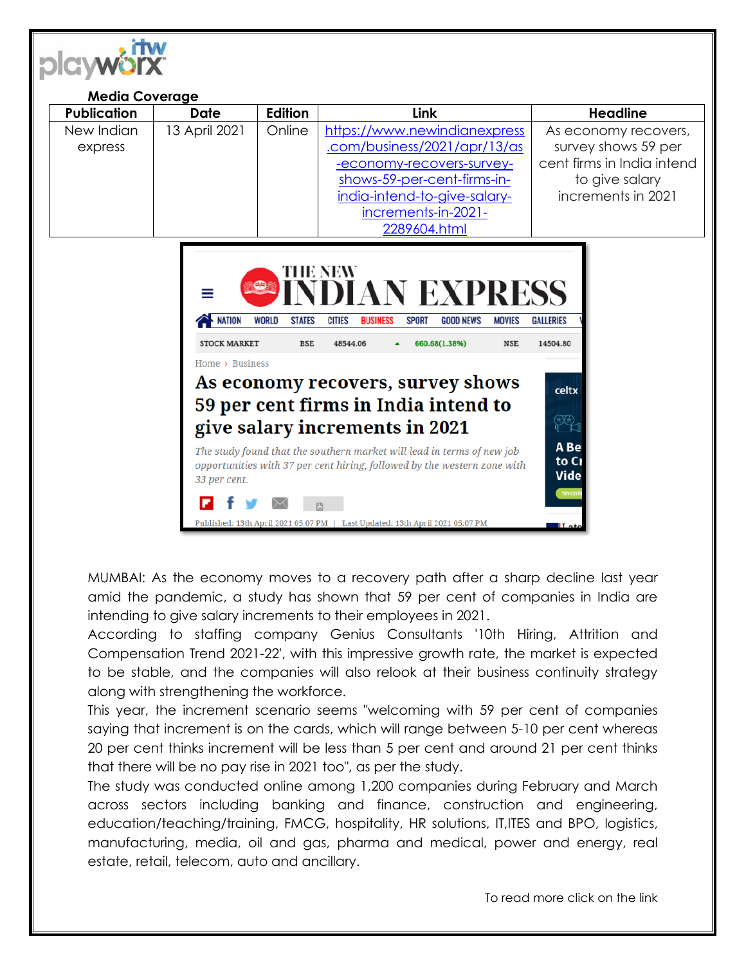

| <b>Media Coverage</b> |               |                |                                                                                                                                                                                                 |                                                                                                                   |
|-----------------------|---------------|----------------|-------------------------------------------------------------------------------------------------------------------------------------------------------------------------------------------------|-------------------------------------------------------------------------------------------------------------------|
| <b>Publication</b>    | <b>Date</b>   | <b>Edition</b> | <b>Link</b>                                                                                                                                                                                     | <b>Headline</b>                                                                                                   |
| New Indian<br>express | 13 April 2021 | Online         | https://www.newindianexpress<br>.com/business/2021/apr/13/as<br>-economy-recovers-survey-<br>shows-59-per-cent-firms-in-<br>india-intend-to-give-salary-<br>increments-in-2021-<br>2289604.html | As economy recovers,<br>survey shows 59 per<br>cent firms in India intend<br>to give salary<br>increments in 2021 |
| THE NEW               |               |                |                                                                                                                                                                                                 |                                                                                                                   |



MUMBAI: As the economy moves to a recovery path after a sharp decline last year amid the pandemic, a study has shown that 59 per cent of companies in India are intending to give salary increments to their employees in 2021.

According to staffing company Genius Consultants '10th Hiring, Attrition and Compensation Trend 2021-22', with this impressive growth rate, the market is expected to be stable, and the companies will also relook at their business continuity strategy along with strengthening the workforce.

This year, the increment scenario seems "welcoming with 59 per cent of companies saying that increment is on the cards, which will range between 5-10 per cent whereas 20 per cent thinks increment will be less than 5 per cent and around 21 per cent thinks that there will be no pay rise in 2021 too", as per the study.

The study was conducted online among 1,200 companies during February and March across sectors including banking and finance, construction and engineering, education/teaching/training, FMCG, hospitality, HR solutions, IT,ITES and BPO, logistics, manufacturing, media, oil and gas, pharma and medical, power and energy, real estate, retail, telecom, auto and ancillary.

To read more click on the link